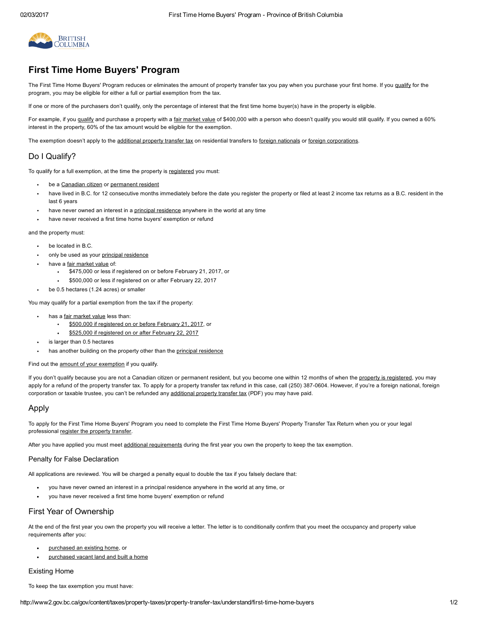

# First Time Home Buyers' Program

The First Time Home Buyers' Program reduces or eliminates the amount of property transfer tax you pay when you purchase your first home. If you [qualify](#page-0-0) for the program, you may be eligible for either a full or partial exemption from the tax.

If one or more of the purchasers don't qualify, only the percentage of interest that the first time home buyer(s) have in the property is eligible.

For example, if you [qualify](#page-0-0) and purchase a property with a fair [market](http://www2.gov.bc.ca/gov/content/taxes/property-taxes/property-transfer-tax/understand#FairMarket) value of \$400,000 with a person who doesn't qualify you would still qualify. If you owned a 60% interest in the property, 60% of the tax amount would be eligible for the exemption.

The exemption doesn't apply to the [additional](http://www2.gov.bc.ca/assets/gov/taxes/property-taxes/property-transfer-tax/forms-publications/is-006-additional-property-transfer-tax-foreign-entities-vancouver.pdf) property transfer tax on residential transfers to foreign [nationals](http://www2.gov.bc.ca/gov/content?id=EB42E7A81DD241669B1E6E18C98D685B#foreign-national) or foreign [corporations.](http://www2.gov.bc.ca/gov/content?id=EB42E7A81DD241669B1E6E18C98D685B#foreign-corporation)

# <span id="page-0-0"></span>Do I Qualify?

To qualify for a full exemption, at the time the property is [registered](http://www2.gov.bc.ca/gov/content/taxes/property-taxes/property-transfer-tax/file) you must:

- be a [Canadian](http://www2.gov.bc.ca/gov/content/taxes/property-taxes/help-centre/glossary#canadian-citizen) citizen or [permanent](http://www2.gov.bc.ca/gov/content/taxes/property-taxes/help-centre/glossary#permanent-resident) resident
- have lived in B.C. for 12 consecutive months immediately before the date you register the property or filed at least 2 income tax returns as a B.C. resident in the last 6 years
- have never owned an interest in a principal [residence](http://www2.gov.bc.ca/gov/content/taxes/property-taxes/help-centre/glossary#principal-residence) anywhere in the world at any time
- have never received a first time home buyers' exemption or refund

and the property must:

- be located in B.C.  $\bullet$
- only be used as your principal [residence](http://www2.gov.bc.ca/gov/content/taxes/property-taxes/help-centre/glossary#principal-residence)
- have a fair [market](http://www2.gov.bc.ca/gov/content/taxes/property-taxes/property-transfer-tax/understand#FairMarket) value of:
	- \$475,000 or less if registered on or before February 21, 2017, or
	- \$500,000 or less if registered on or after February 22, 2017
- be 0.5 hectares (1.24 acres) or smaller  $\bullet$

You may qualify for a partial exemption from the tax if the property:

- has a *fair [market](http://www2.gov.bc.ca/gov/content/taxes/property-taxes/property-transfer-tax/understand#FairMarket) value* less than:
	- \$500,000 if [registered](http://www2.gov.bc.ca/gov/content/taxes/property-taxes/property-transfer-tax/understand/first-time-home-buyers/previous-amount) on or before February 21, 2017, or
	- \$525,000 if [registered](http://www2.gov.bc.ca/gov/content/taxes/property-taxes/property-transfer-tax/understand/first-time-home-buyers/current-amount#current-exempt) on or after February 22, 2017
- is larger than 0.5 hectares
- has another building on the property other than the principal [residence](http://www2.gov.bc.ca/gov/content/taxes/property-taxes/help-centre/glossary#principal-residence)

Find out the amount of your [exemption](http://www2.gov.bc.ca/gov/content/taxes/property-taxes/property-transfer-tax/understand/first-time-home-buyers/current-amount#current-exempt) if you qualify.

If you don't qualify because you are not a Canadian citizen or permanent resident, but you become one within 12 months of when the property is [registered,](http://www2.gov.bc.ca/gov/content/taxes/property-taxes/property-transfer-tax/file) you may apply for a refund of the property transfer tax. To apply for a property transfer tax refund in this case, call (250) 387-0604. However, if you're a foreign national, foreign corporation or taxable trustee, you can't be refunded any [additional](http://www2.gov.bc.ca/assets/gov/taxes/property-taxes/property-transfer-tax/forms-publications/is-006-additional-property-transfer-tax-foreign-entities-vancouver.pdf) property transfer tax (PDF) you may have paid.

## Apply

 $\ddot{\phantom{a}}$ 

To apply for the First Time Home Buyers' Program you need to complete the First Time Home Buyers' Property Transfer Tax Return when you or your legal professional register the [property](http://www2.gov.bc.ca/gov/content/taxes/property-taxes/property-transfer-tax/file) transfer.

After you have applied you must meet additional [requirements](#page-0-1) during the first year you own the property to keep the tax exemption.

#### Penalty for False Declaration

All applications are reviewed. You will be charged a penalty equal to double the tax if you falsely declare that:

- you have never owned an interest in a principal residence anywhere in the world at any time, or
- you have never received a first time home buyers' exemption or refund

## <span id="page-0-1"></span>First Year of Ownership

At the end of the first year you own the property you will receive a letter. The letter is to conditionally confirm that you meet the occupancy and property value requirements after you:

- [purchased](#page-0-2) an existing home, or
- [purchased](#page-1-0) vacant land and built a home

### <span id="page-0-2"></span>Existing Home

To keep the tax exemption you must have: